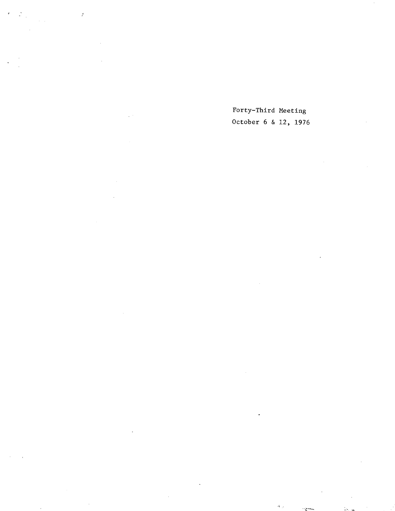$\tilde{\epsilon}$  $\hat{\mathcal{E}}$ 

Forty-Third Meeting October 6 & 12, 1976

 $\mathcal{A}_{\mathbb{Z}_p^{\times}}$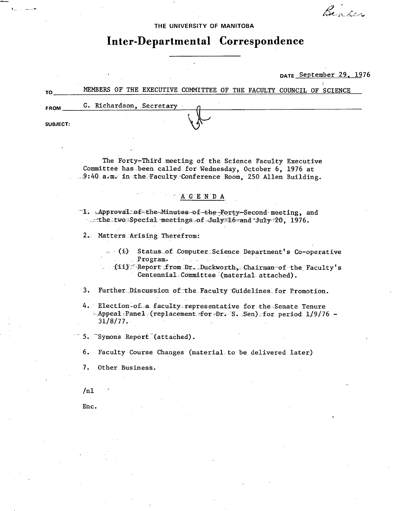Beader

THE UNIVERSITY OF MANITOBA

# Inter-Departmental Correspondence

DATE September 29, 1976

MEMBERS OF THE EXECUTIVE COMMITTEE OF THE FACULTY COUNCIL OF SCIENCE TO G. Richardson, Secretary **FROM** 

> The Forty-Third meeting of the Science Faculty Executive Committee has been called for Wednesday, October 6, 1976 at 9:40 a.m. in the Faculty Conference Room, 250 Allen Building.

> > AGENDA

T1. Approval of the Minutes of the Forty-Second meeting, and the two Special meetings of July 16 and July 20, 1976.

2. Matters Arising Therefrom:

(i) Status of Computer Science Department's Co-operative  $Program.$ 

(ii) Report from Dr. Duckworth, Chairman of the Faculty's Centennial Committee (material attached).

 $\cdot$  3. Further Discussion of the Faculty Guidelines for Promotion.

4. Election-of a faculty representative for the Senate Tenure -Appeal Panel (replacement for Dr. S. Sen) for period 1/9/76 - $31/8/77.$ 

5. Symons Report (attached).

 $6.$ Faculty Course Changes (material to be delivered later)

7. Other Business.

 $/n1$ 

 $\mathbf{E}_{\text{eff}}$  is a simple

**SUBJECT:** 

Enc.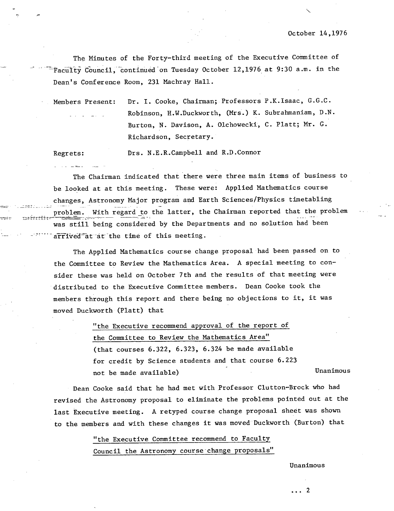The Minutes of the Forty-third meeting of the Executive Committee of - Facufty Cuncil, èontinued on Tuesday October 12,1976 at 9:30 a.m. in the Dean's Conference Room, 231 Machray Hall.

Members Present: Dr. I. Cooke, Chairman; Professors P.K.Isaac, G.G.C. Robinson, H.W.Duckworth, (Mrs.) K. Subrahmaniam, D.N. Burton, N. Davison, A. Olchowecki, C. Platt; Mr. C. Richardson, Secretary.

Regrets: Drs. N.E.R.Campbell and R.D.Connor

The Chairman indicated that there were three main items of business to be looked at at this meeting. These were: Applied Mathematics course - changes, Astronomy Major program and Earth Sciences/Physics timetabling problem. With regard to the latter, the Chairman reported that the problem was still being considered by the Departments and no solution had been arrived at at the time of this meeting.

The Applied Mathematics course change proposal had been passed on to the Committee to Review the Mathematics Area. A special meeting to consider these was held on October 7th and the results of that meeting were distributed to the Executive Committee members. Dean Cooke took the members through this report and there being no objections to it, it was moved Duckworth (Platt) that

> "the Executive recommend approval of the report of the Committee to Review the Mathematics Area" (that courses 6.322, 6.323, 6.324 be made available for credit by Science students and that course 6.223 not be made available) and the manimous variable behavior of the Unanimous

Dean Cooke said that he had met with Professor Clutton-Brock who had revised the Astronomy proposal to eliminate the problems pointed out at the last Executive meeting. A retyped course change proposal sheet was shown to the members and with these changes it was moved Duckworth (Burton) that

> "the Executive Committee recommend to Facul Council the Astronomy course- change proposals"

> > Unanimous

...2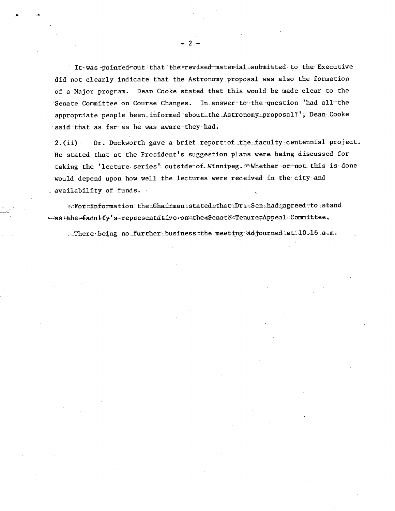It was pointed out that the revised material submitted to the Executive did not clearly indicate that the Astronomy proposal was also the formation of a Major program. Dean Cooke stated that this would be made clear to the Senate Committee on Course Changes. In answer to the question 'had all-the appropriate people been informed about the Astronomy proposal?', Dean Cooke said that as far as he was aware they had.

 $\mathcal{P}$ 

2. (ii) Dr. Duckworth gave a brief report of the faculty centennial project. He stated that at the President's suggestion plans were being discussed for taking the 'lecture series' outside of Winnipeg. Whether or not this is done would depend upon how well the lectures were received in the city and  $\therefore$  availability of funds.

exForminformation the Chairman stated that Br == Sen had gagreed to stand == as the faculty's-representative on the Senate Tenure Appeal Committee.

effhere being no further business the meeting adjourned at 10.16 a.m.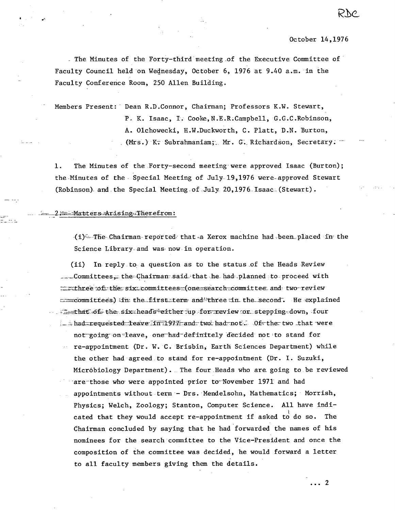RNC

. The Minutes of the Forty-third meeting of the Executive Committee of Faculty Council held on Wednesday, October 6, 1976 at 9.40 a.m. in the Faculty Conference Room, 250 Allen Building.

Members Present: Dean R.D.Connor, Chairman; Professors K.W. Stewart, P. K. Isaac, I. Cooke, N.E.R.Campbell, G.G.C.Robinson, A. Olchowecki, H.W.Duckworth, C. Platt, D.N. Burton, (Mrs.) K. Subrahmaniam; Mr. G. Richardson, Secretary.

The Minutes of the Forty-second meeting were approved Isaac (Burton);  $1.$ the Minutes of the Special Meeting of July 19,1976 were approved Stewart (Robinson) and the Special Meeting of July 20,1976 Isaac (Stewart).

Matters Arising Therefrom:

(i) The Chairman reported that a Xerox machine had been placed in the Science Library and was now in operation.

In reply to a question as to the status of the Heads Review  $(ii)$ Committees. the Chairman said that he had planned to proceed with Enthree of the six committees (one search committee and two review committees) in the first term and three in the second. He explained that of the six heads either up for review or stepping down, four in had requested leave firtl977 and two had not. Of the two that were not going on leave, one had definitely decided not to stand for re-appointment (Dr. W. C. Brisbin, Earth Sciences Department) while the other had agreed to stand for re-appointment (Dr. I. Suzuki, Micróbiology Department). The four Heads who are going to be reviewed are those who were appointed prior to November 1971 and had appointments without term - Drs. Mendelsohn, Mathematics; Morrish, Physics; Welch, Zoology; Stanton, Computer Science. All have indicated that they would accept re-appointment if asked to do so. The Chairman concluded by saying that he had forwarded the names of his nominees for the search committee to the Vice-President and once the composition of the committee was decided, he would forward a letter to all faculty members giving them the details.

 $\cdots$  2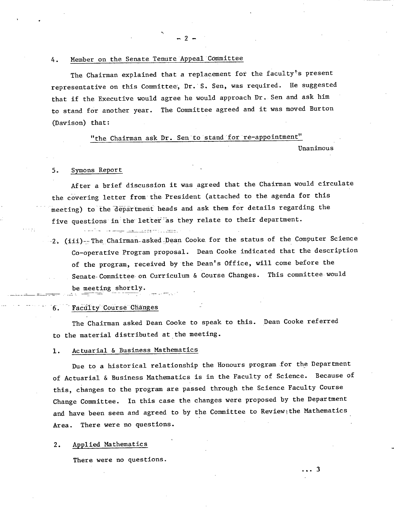#### Member on the Senate Tenure Appeal Committee 4.

The Chairman explained that a replacement for the faculty's present representative on this Committee, Dr. S. Sen, was required.. He suggested that if the Executive would agree he would approach Dr. Sen and ask him to stand for another year. The Committee agreed and it was moved Burton (Davison) that:

 $-2 -$ 

## "the Chairman ask Dr. Sen to stand for re-appointment"

Unanimous

#### $5.$ Symons Report -

After a brief discussion it was agreed that the Chairman would circulate the covering letter from the President (attached to the agenda for this meeting) to the department heads and ask them for details regarding the five questions in the letter as they relate to their department.

2. (iii)-The Chairman asked Dean Cooke for the status of the Computer Science Co-operative Program proposal. Dean Cooke indicated that the description of the program, received by the Dean's Office, will come before the Senate-Committee on Curriculum & Course Changes. This committee would be meeting shortly.

## 6. Faculty Course Changes

The Chairman asked Dean Cooke to speak to this. Dean Cooke referred to the material distributed at the meeting.

#### Actuarial & Business Mathematics  $1$ .

Due to a historical relationship the Honours program for the Department of Actuarial & Business Mathematics is in the Faculty of Science. Because of this, changes to the program are passed through the Science Faculty Course Change Committee. In this case the changes were proposed by the Department and have been seen and agreed to by the Committee to Review<sub>!</sub> the Mathematics Area. There were no questions.

#### Applied Mathematics  $2.$

There were no questions.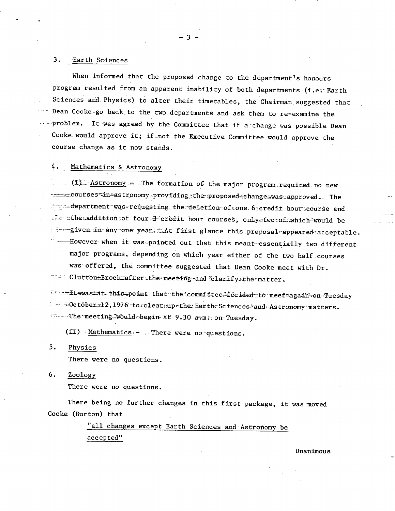#### $3.$ Earth Sciences

When informed that the proposed change to the department's honours program resulted from an apparent inability of both departments (i.e. Earth Sciences and Physics) to alter their timetables, the Chairman suggested that Dean Cooke-go back to the two departments and ask them to re-examine the problem. It was agreed by the Committee that if a change was possible Dean Cooke would approve it; if not the Executive Committee would approve the course change as it now stands.

#### 4. Mathematics & Astronomy

(1) Astronomy = The formation of the major program required no new courses-in-astronomy\_providing\_the-proposed\_ehange\_was\_approved. The department was requesting the deletion of tone 6 teredit hour course and the athetaddition of four-3 credit hour courses, only two of which would be s in given in any one year. At first glance this proposal appeared acceptable. However when it was pointed out that this meant essentially two different major programs, depending on which year either of the two half courses was offered, the committee suggested that Dean Cooke meet with Dr. The Clutton-Brockmafter the meeting and felarify the matter.

In this point that the committee decided to meet again on Tuesday  $\frac{1}{2}$  = 0ctober=12,1976 to clear up the Earth-Sciences and Astronomy matters. The meeting would begin at 9.30 arm con Tuesday.

(ii) Mathematics - There were no questions.

 $5.$ Physics

There were no questions.

 $6.$ Zoology

There were no questions.

There being no further changes in this first package, it was moved Cooke (Burton) that

> "all changes except Earth Sciences and Astronomy be accepted"

> > Unanimous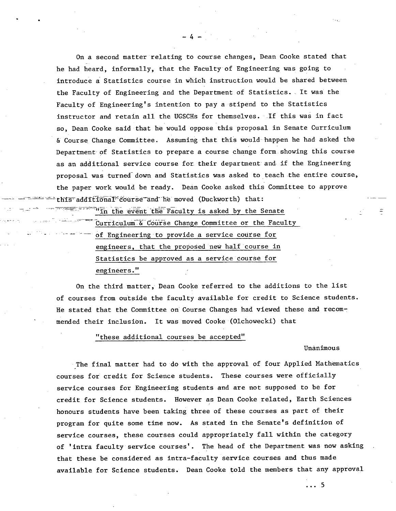On a second matter relating to course changes, Dean Cooke stated that he had heard, informally, that the Faculty of Engineering was going to introduce a Statistics course in which instruction would be shared between the Faculty of Engineering and the Department of Statistics. It was the Faculty of Engineering's intention to pay a stipend to the Statistics instructor and retain all the UGSCHs for themselves. If this was in fact so, Dean Cooke said that he would oppose this proposal in Senate Curriculum & Course Change Committee. Assuming that this would happen he had asked the Department of Statistics to prepare a course change form showing this course as an additional service course for their department and if the Engineering proposal was turned down and Statistics was asked to teach the entire course, the paper work would be ready. Dean Cooke asked this Committee to approve aper work would be ready. Dean Cooke asked this<br>additional course and he moved (Duckworth) that:

 $-4-$ 

**in the event the Faculty is asked by the Senate** 

Curriculum & Course Change Committee or the Faculty of Engineering to provide a service course for engineers, that the proposed new half course in Statistics be approved as a service course for engineers."

On the third matter, Dean Cooke referred to the additions to the list of courses from outside the faculty available for credit to Science students. He stated that the Committee on Course Changes had viewed these and recommended their inclusion. It was moved Cooke (Olchowecki) that

### "these additional courses be accepted"

Unanimous

The final matter had to do with the approval of four Applied Mathematics courses for credit for Science students. These courses were officially service courses for Engineering students and are not supposed to be for credit for Science students. However as Dean Cooke related, Earth Sciences honours students have been taking three of these courses as part of their program for quite some time now. As stated in the Senate's definition of service courses, these courses could appropriately fall within the category of 'intra faculty service courses'. The head of the Department was now asking that these be considered as intra-faculty service courses and thus made available for Science students. Dean Cooke told the members that any approval

 $\cdots$  5